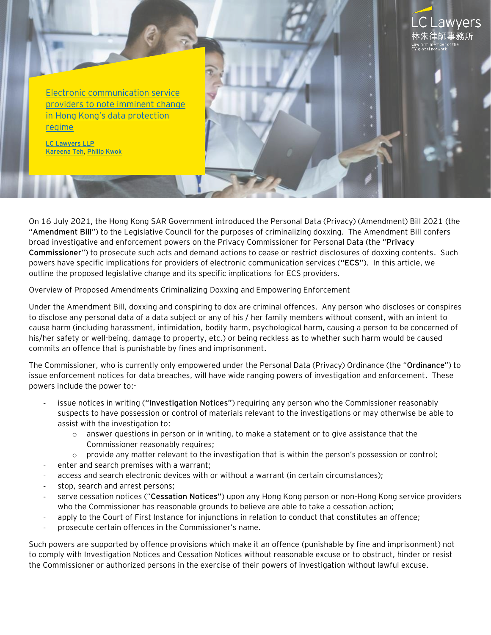

[LC Lawyers LLP](https://www.eylaw.com.hk/en_hk) [Kareena Teh,](https://www.eylaw.com.hk/en_hk/people/kareena-teh) [Philip Kwok](https://www.eylaw.com.hk/en_hk/people/philip-kwok)

On 16 July 2021, the Hong Kong SAR Government introduced the Personal Data (Privacy) (Amendment) Bill 2021 (the "**Amendment Bill**") to the Legislative Council for the purposes of criminalizing doxxing. The Amendment Bill confers broad investigative and enforcement powers on the Privacy Commissioner for Personal Data (the "**Privacy Commissioner**") to prosecute such acts and demand actions to cease or restrict disclosures of doxxing contents. Such powers have specific implications for providers of electronic communication services (**"ECS"**). In this article, we outline the proposed legislative change and its specific implications for ECS providers.

#### Overview of Proposed Amendments Criminalizing Doxxing and Empowering Enforcement

Under the Amendment Bill, doxxing and conspiring to dox are criminal offences. Any person who discloses or conspires to disclose any personal data of a data subject or any of his / her family members without consent, with an intent to cause harm (including harassment, intimidation, bodily harm, psychological harm, causing a person to be concerned of his/her safety or well-being, damage to property, etc.) or being reckless as to whether such harm would be caused commits an offence that is punishable by fines and imprisonment.

The Commissioner, who is currently only empowered under the Personal Data (Privacy) Ordinance (the "**Ordinance**") to issue enforcement notices for data breaches, will have wide ranging powers of investigation and enforcement. These powers include the power to:-

- issue notices in writing (**"Investigation Notices"**) requiring any person who the Commissioner reasonably suspects to have possession or control of materials relevant to the investigations or may otherwise be able to assist with the investigation to:
	- $\circ$  answer questions in person or in writing, to make a statement or to give assistance that the Commissioner reasonably requires;
	- $\circ$  provide any matter relevant to the investigation that is within the person's possession or control;
- enter and search premises with a warrant;
- access and search electronic devices with or without a warrant (in certain circumstances);
- stop, search and arrest persons;
- serve cessation notices ("**Cessation Notices"**) upon any Hong Kong person or non-Hong Kong service providers who the Commissioner has reasonable grounds to believe are able to take a cessation action;
- apply to the Court of First Instance for injunctions in relation to conduct that constitutes an offence;
- prosecute certain offences in the Commissioner's name.

Such powers are supported by offence provisions which make it an offence (punishable by fine and imprisonment) not to comply with Investigation Notices and Cessation Notices without reasonable excuse or to obstruct, hinder or resist the Commissioner or authorized persons in the exercise of their powers of investigation without lawful excuse.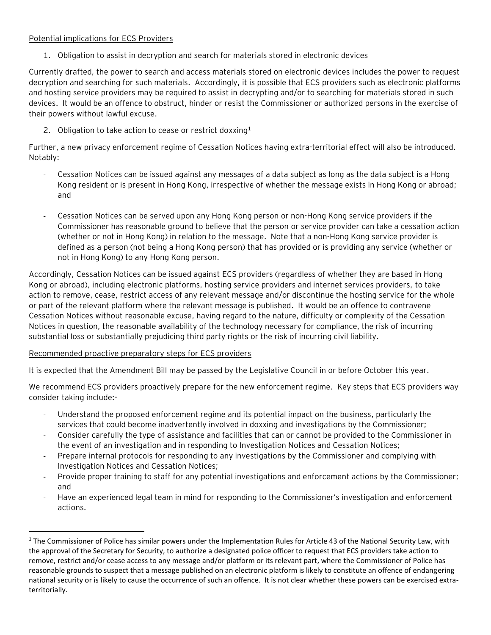#### Potential implications for ECS Providers

1. Obligation to assist in decryption and search for materials stored in electronic devices

Currently drafted, the power to search and access materials stored on electronic devices includes the power to request decryption and searching for such materials. Accordingly, it is possible that ECS providers such as electronic platforms and hosting service providers may be required to assist in decrypting and/or to searching for materials stored in such devices. It would be an offence to obstruct, hinder or resist the Commissioner or authorized persons in the exercise of their powers without lawful excuse.

2. Obligation to take action to cease or restrict doxxing<sup>1</sup>

Further, a new privacy enforcement regime of Cessation Notices having extra-territorial effect will also be introduced. Notably:

- Cessation Notices can be issued against any messages of a data subject as long as the data subject is a Hong Kong resident or is present in Hong Kong, irrespective of whether the message exists in Hong Kong or abroad; and
- Cessation Notices can be served upon any Hong Kong person or non-Hong Kong service providers if the Commissioner has reasonable ground to believe that the person or service provider can take a cessation action (whether or not in Hong Kong) in relation to the message. Note that a non-Hong Kong service provider is defined as a person (not being a Hong Kong person) that has provided or is providing any service (whether or not in Hong Kong) to any Hong Kong person.

Accordingly, Cessation Notices can be issued against ECS providers (regardless of whether they are based in Hong Kong or abroad), including electronic platforms, hosting service providers and internet services providers, to take action to remove, cease, restrict access of any relevant message and/or discontinue the hosting service for the whole or part of the relevant platform where the relevant message is published. It would be an offence to contravene Cessation Notices without reasonable excuse, having regard to the nature, difficulty or complexity of the Cessation Notices in question, the reasonable availability of the technology necessary for compliance, the risk of incurring substantial loss or substantially prejudicing third party rights or the risk of incurring civil liability.

### Recommended proactive preparatory steps for ECS providers

It is expected that the Amendment Bill may be passed by the Legislative Council in or before October this year.

We recommend ECS providers proactively prepare for the new enforcement regime. Key steps that ECS providers way consider taking include:-

- Understand the proposed enforcement regime and its potential impact on the business, particularly the services that could become inadvertently involved in doxxing and investigations by the Commissioner;
- Consider carefully the type of assistance and facilities that can or cannot be provided to the Commissioner in the event of an investigation and in responding to Investigation Notices and Cessation Notices;
- Prepare internal protocols for responding to any investigations by the Commissioner and complying with Investigation Notices and Cessation Notices;
- Provide proper training to staff for any potential investigations and enforcement actions by the Commissioner; and
- Have an experienced legal team in mind for responding to the Commissioner's investigation and enforcement actions.

<sup>&</sup>lt;sup>1</sup> The Commissioner of Police has similar powers under the Implementation Rules for Article 43 of the National Security Law, with the approval of the Secretary for Security, to authorize a designated police officer to request that ECS providers take action to remove, restrict and/or cease access to any message and/or platform or its relevant part, where the Commissioner of Police has reasonable grounds to suspect that a message published on an electronic platform is likely to constitute an offence of endangering national security or is likely to cause the occurrence of such an offence. It is not clear whether these powers can be exercised extraterritorially.